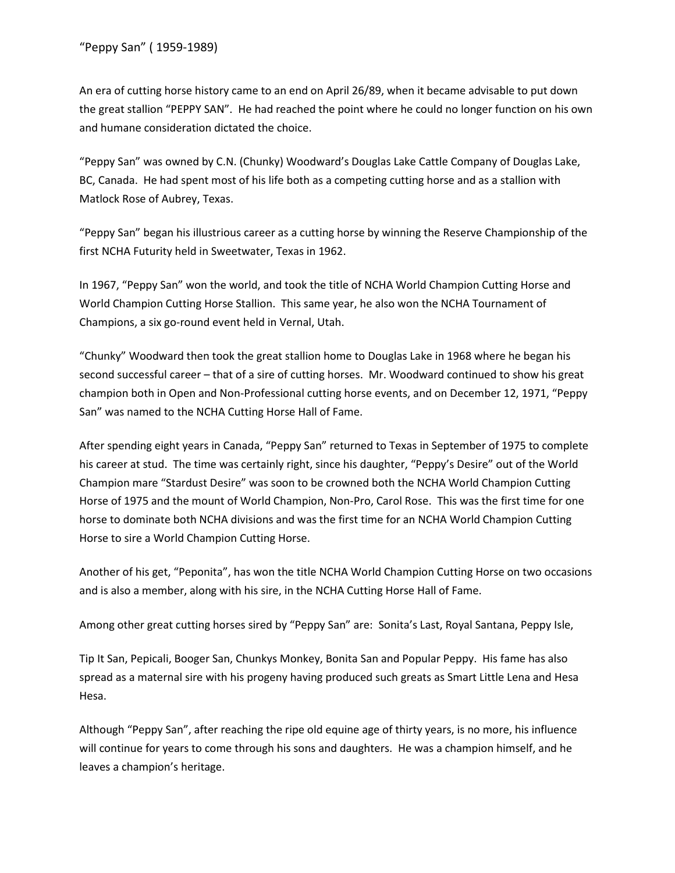An era of cutting horse history came to an end on April 26/89, when it became advisable to put down the great stallion "PEPPY SAN". He had reached the point where he could no longer function on his own and humane consideration dictated the choice.

"Peppy San" was owned by C.N. (Chunky) Woodward's Douglas Lake Cattle Company of Douglas Lake, BC, Canada. He had spent most of his life both as a competing cutting horse and as a stallion with Matlock Rose of Aubrey, Texas.

"Peppy San" began his illustrious career as a cutting horse by winning the Reserve Championship of the first NCHA Futurity held in Sweetwater, Texas in 1962.

In 1967, "Peppy San" won the world, and took the title of NCHA World Champion Cutting Horse and World Champion Cutting Horse Stallion. This same year, he also won the NCHA Tournament of Champions, a six go-round event held in Vernal, Utah.

"Chunky" Woodward then took the great stallion home to Douglas Lake in 1968 where he began his second successful career – that of a sire of cutting horses. Mr. Woodward continued to show his great champion both in Open and Non-Professional cutting horse events, and on December 12, 1971, "Peppy San" was named to the NCHA Cutting Horse Hall of Fame.

After spending eight years in Canada, "Peppy San" returned to Texas in September of 1975 to complete his career at stud. The time was certainly right, since his daughter, "Peppy's Desire" out of the World Champion mare "Stardust Desire" was soon to be crowned both the NCHA World Champion Cutting Horse of 1975 and the mount of World Champion, Non-Pro, Carol Rose. This was the first time for one horse to dominate both NCHA divisions and was the first time for an NCHA World Champion Cutting Horse to sire a World Champion Cutting Horse.

Another of his get, "Peponita", has won the title NCHA World Champion Cutting Horse on two occasions and is also a member, along with his sire, in the NCHA Cutting Horse Hall of Fame.

Among other great cutting horses sired by "Peppy San" are: Sonita's Last, Royal Santana, Peppy Isle,

Tip It San, Pepicali, Booger San, Chunkys Monkey, Bonita San and Popular Peppy. His fame has also spread as a maternal sire with his progeny having produced such greats as Smart Little Lena and Hesa Hesa.

Although "Peppy San", after reaching the ripe old equine age of thirty years, is no more, his influence will continue for years to come through his sons and daughters. He was a champion himself, and he leaves a champion's heritage.